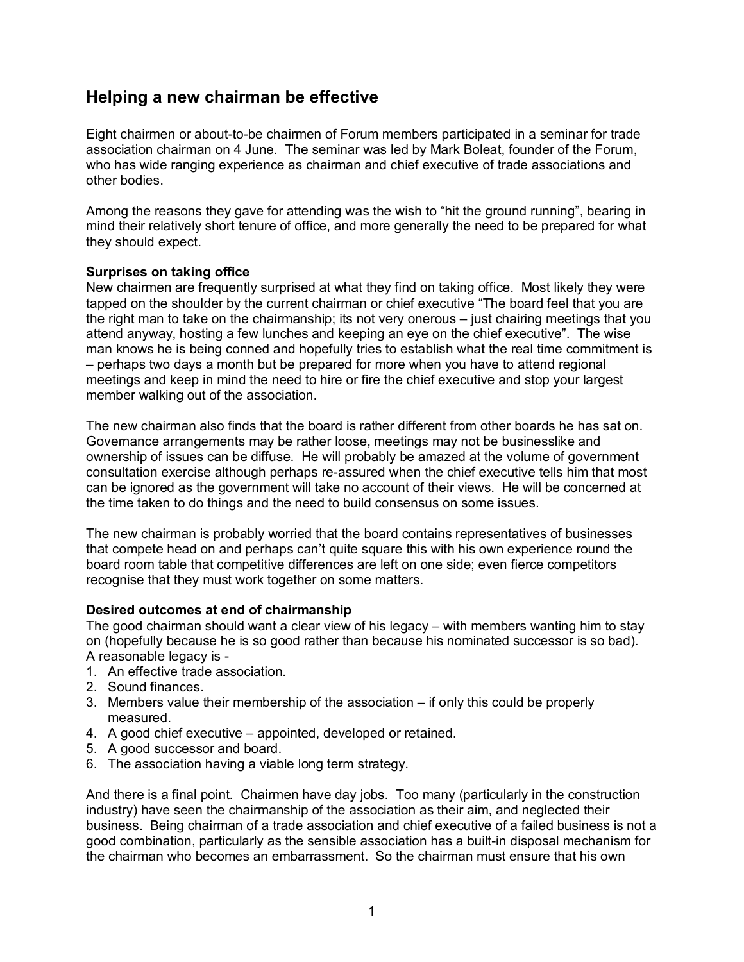# **Helping a new chairman be effective**

Eight chairmen or about-to-be chairmen of Forum members participated in a seminar for trade association chairman on 4 June. The seminar was led by Mark Boleat, founder of the Forum, who has wide ranging experience as chairman and chief executive of trade associations and other bodies.

Among the reasons they gave for attending was the wish to "hit the ground running", bearing in mind their relatively short tenure of office, and more generally the need to be prepared for what they should expect.

### **Surprises on taking office**

New chairmen are frequently surprised at what they find on taking office. Most likely they were tapped on the shoulder by the current chairman or chief executive "The board feel that you are the right man to take on the chairmanship; its not very onerous – just chairing meetings that you attend anyway, hosting a few lunches and keeping an eye on the chief executive". The wise man knows he is being conned and hopefully tries to establish what the real time commitment is – perhaps two days a month but be prepared for more when you have to attend regional meetings and keep in mind the need to hire or fire the chief executive and stop your largest member walking out of the association.

The new chairman also finds that the board is rather different from other boards he has sat on. Governance arrangements may be rather loose, meetings may not be businesslike and ownership of issues can be diffuse. He will probably be amazed at the volume of government consultation exercise although perhaps re-assured when the chief executive tells him that most can be ignored as the government will take no account of their views. He will be concerned at the time taken to do things and the need to build consensus on some issues.

The new chairman is probably worried that the board contains representatives of businesses that compete head on and perhaps can't quite square this with his own experience round the board room table that competitive differences are left on one side; even fierce competitors recognise that they must work together on some matters.

### **Desired outcomes at end of chairmanship**

The good chairman should want a clear view of his legacy – with members wanting him to stay on (hopefully because he is so good rather than because his nominated successor is so bad). A reasonable legacy is -

- 1. An effective trade association.
- 2. Sound finances.
- 3. Members value their membership of the association if only this could be properly measured.
- 4. A good chief executive appointed, developed or retained.
- 5. A good successor and board.
- 6. The association having a viable long term strategy.

And there is a final point. Chairmen have day jobs. Too many (particularly in the construction industry) have seen the chairmanship of the association as their aim, and neglected their business. Being chairman of a trade association and chief executive of a failed business is not a good combination, particularly as the sensible association has a built-in disposal mechanism for the chairman who becomes an embarrassment. So the chairman must ensure that his own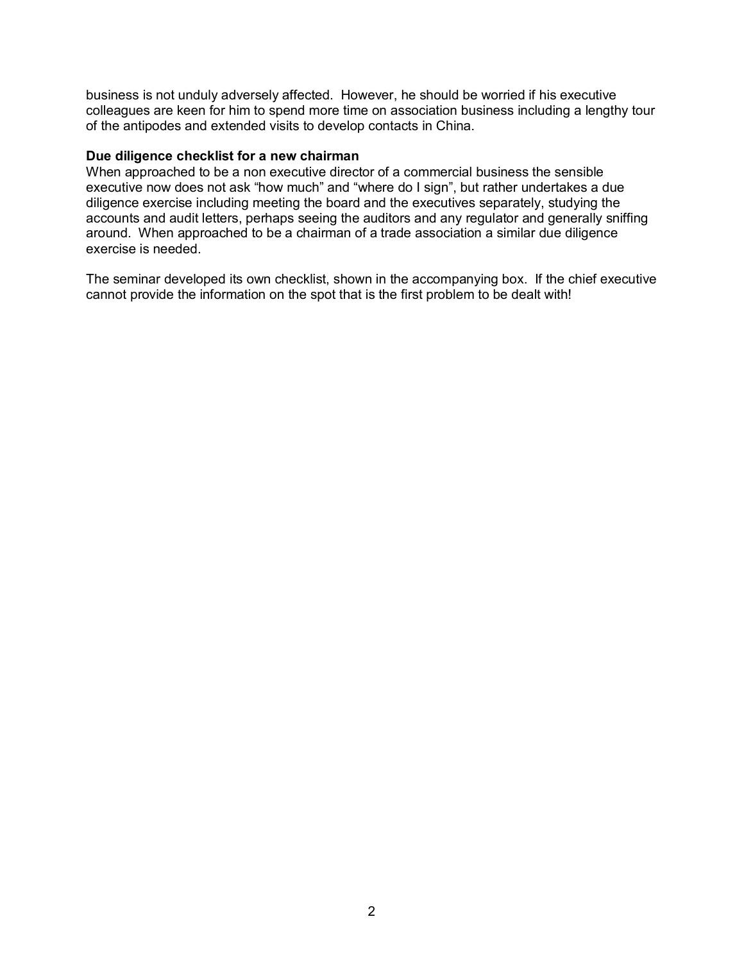business is not unduly adversely affected. However, he should be worried if his executive colleagues are keen for him to spend more time on association business including a lengthy tour of the antipodes and extended visits to develop contacts in China.

#### **Due diligence checklist for a new chairman**

When approached to be a non executive director of a commercial business the sensible executive now does not ask "how much" and "where do I sign", but rather undertakes a due diligence exercise including meeting the board and the executives separately, studying the accounts and audit letters, perhaps seeing the auditors and any regulator and generally sniffing around. When approached to be a chairman of a trade association a similar due diligence exercise is needed.

The seminar developed its own checklist, shown in the accompanying box. If the chief executive cannot provide the information on the spot that is the first problem to be dealt with!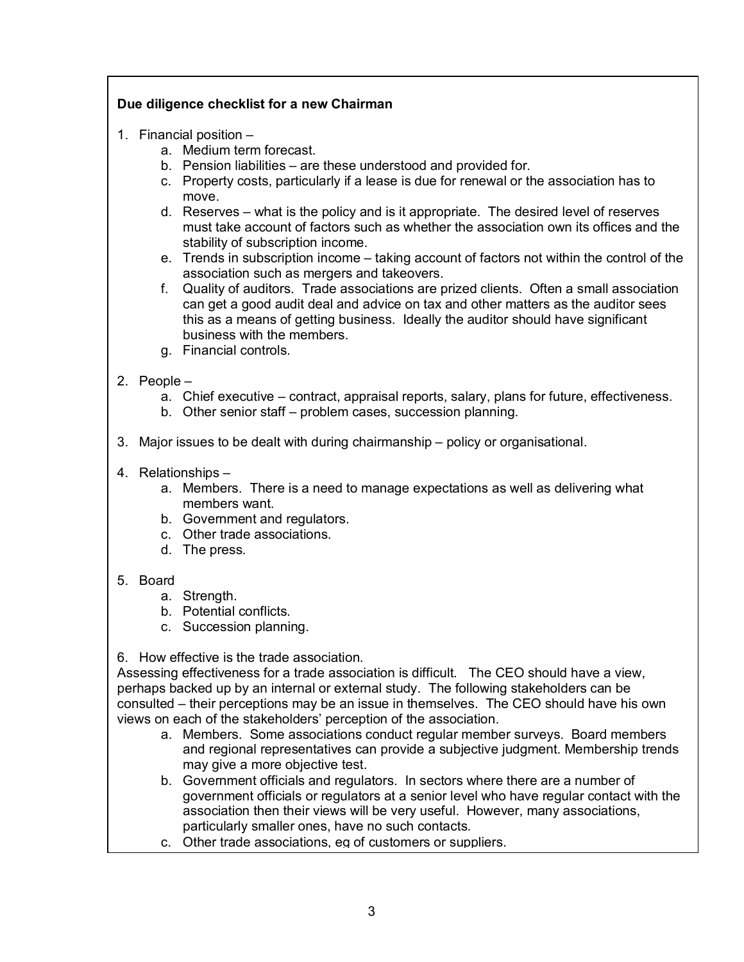## **Due diligence checklist for a new Chairman**

- 1. Financial position
	- a. Medium term forecast.
	- b. Pension liabilities are these understood and provided for.
	- c. Property costs, particularly if a lease is due for renewal or the association has to move.
	- d. Reserves what is the policy and is it appropriate. The desired level of reserves must take account of factors such as whether the association own its offices and the stability of subscription income.
	- e. Trends in subscription income taking account of factors not within the control of the association such as mergers and takeovers.
	- f. Quality of auditors. Trade associations are prized clients. Often a small association can get a good audit deal and advice on tax and other matters as the auditor sees this as a means of getting business. Ideally the auditor should have significant business with the members.
	- g. Financial controls.
- 2. People
	- a. Chief executive contract, appraisal reports, salary, plans for future, effectiveness.
	- b. Other senior staff problem cases, succession planning.
- 3. Major issues to be dealt with during chairmanship policy or organisational.
- 4. Relationships
	- a. Members. There is a need to manage expectations as well as delivering what members want.
	- b. Government and regulators.
	- c. Other trade associations.
	- d. The press.

### 5. Board

- a. Strength.
- b. Potential conflicts.
- c. Succession planning.

6. How effective is the trade association.

Assessing effectiveness for a trade association is difficult. The CEO should have a view, perhaps backed up by an internal or external study. The following stakeholders can be consulted – their perceptions may be an issue in themselves. The CEO should have his own views on each of the stakeholders' perception of the association.

- a. Members. Some associations conduct regular member surveys. Board members and regional representatives can provide a subjective judgment. Membership trends may give a more objective test.
- b. Government officials and regulators. In sectors where there are a number of government officials or regulators at a senior level who have regular contact with the association then their views will be very useful. However, many associations, particularly smaller ones, have no such contacts.
- c. Other trade associations, eg of customers or suppliers.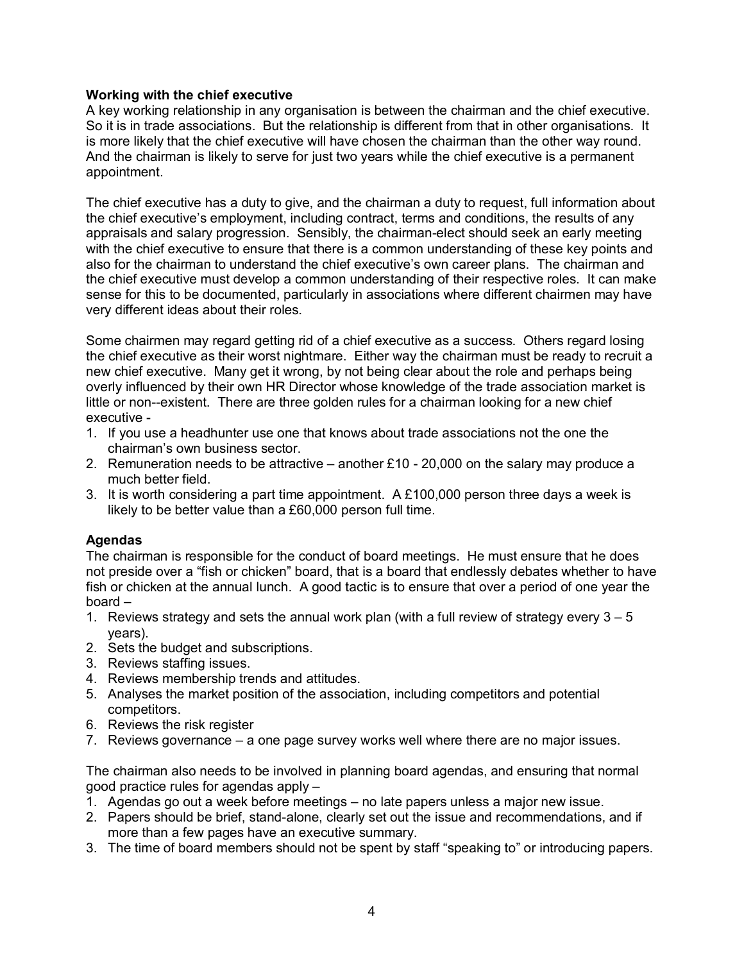### **Working with the chief executive**

A key working relationship in any organisation is between the chairman and the chief executive. So it is in trade associations. But the relationship is different from that in other organisations. It is more likely that the chief executive will have chosen the chairman than the other way round. And the chairman is likely to serve for just two years while the chief executive is a permanent appointment.

The chief executive has a duty to give, and the chairman a duty to request, full information about the chief executive's employment, including contract, terms and conditions, the results of any appraisals and salary progression. Sensibly, the chairman-elect should seek an early meeting with the chief executive to ensure that there is a common understanding of these key points and also for the chairman to understand the chief executive's own career plans. The chairman and the chief executive must develop a common understanding of their respective roles. It can make sense for this to be documented, particularly in associations where different chairmen may have very different ideas about their roles.

Some chairmen may regard getting rid of a chief executive as a success. Others regard losing the chief executive as their worst nightmare. Either way the chairman must be ready to recruit a new chief executive. Many get it wrong, by not being clear about the role and perhaps being overly influenced by their own HR Director whose knowledge of the trade association market is little or non--existent. There are three golden rules for a chairman looking for a new chief executive -

- 1. If you use a headhunter use one that knows about trade associations not the one the chairman's own business sector.
- 2. Remuneration needs to be attractive another £10 20,000 on the salary may produce a much better field.
- 3. It is worth considering a part time appointment. A £100,000 person three days a week is likely to be better value than a £60,000 person full time.

### **Agendas**

The chairman is responsible for the conduct of board meetings. He must ensure that he does not preside over a "fish or chicken" board, that is a board that endlessly debates whether to have fish or chicken at the annual lunch. A good tactic is to ensure that over a period of one year the board –

- 1. Reviews strategy and sets the annual work plan (with a full review of strategy every  $3 5$ years).
- 2. Sets the budget and subscriptions.
- 3. Reviews staffing issues.
- 4. Reviews membership trends and attitudes.
- 5. Analyses the market position of the association, including competitors and potential competitors.
- 6. Reviews the risk register
- 7. Reviews governance a one page survey works well where there are no major issues.

The chairman also needs to be involved in planning board agendas, and ensuring that normal good practice rules for agendas apply –

- 1. Agendas go out a week before meetings no late papers unless a major new issue.
- 2. Papers should be brief, stand-alone, clearly set out the issue and recommendations, and if more than a few pages have an executive summary.
- 3. The time of board members should not be spent by staff "speaking to" or introducing papers.